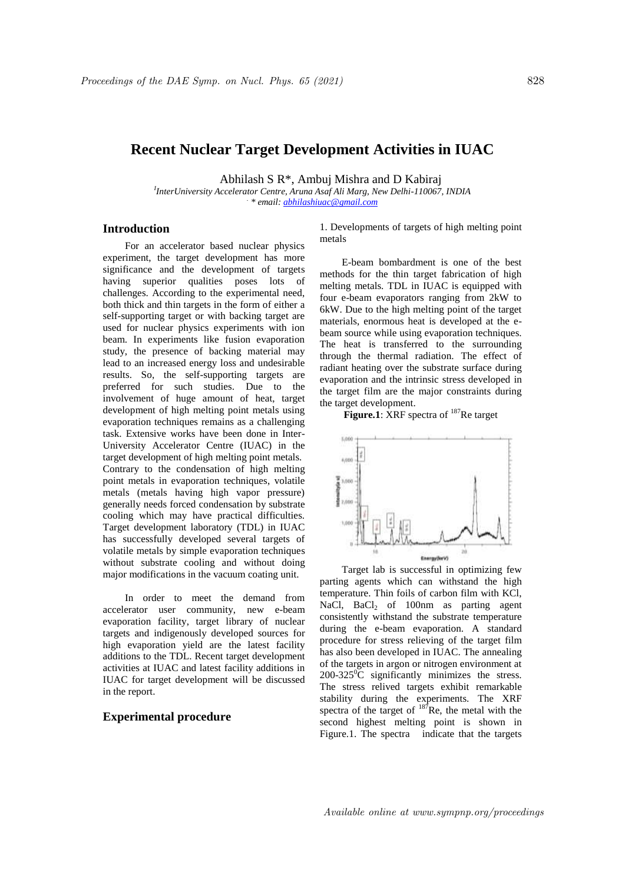# **Recent Nuclear Target Development Activities in IUAC**

Abhilash S R\*, Ambuj Mishra and D Kabiraj

*I InterUniversity Accelerator Centre, Aruna Asaf Ali Marg, New Delhi-110067, INDIA . \* email: abhilashiuac@gmail.com*

# **Introduction**

For an accelerator based nuclear physics experiment, the target development has more significance and the development of targets having superior qualities poses lots of challenges. According to the experimental need, both thick and thin targets in the form of either a self-supporting target or with backing target are used for nuclear physics experiments with ion beam. In experiments like fusion evaporation study, the presence of backing material may lead to an increased energy loss and undesirable results. So, the self-supporting targets are preferred for such studies. Due to the involvement of huge amount of heat, target development of high melting point metals using evaporation techniques remains as a challenging task. Extensive works have been done in Inter-University Accelerator Centre (IUAC) in the target development of high melting point metals. Contrary to the condensation of high melting point metals in evaporation techniques, volatile metals (metals having high vapor pressure) generally needs forced condensation by substrate cooling which may have practical difficulties. Target development laboratory (TDL) in IUAC has successfully developed several targets of volatile metals by simple evaporation techniques without substrate cooling and without doing major modifications in the vacuum coating unit.

In order to meet the demand from accelerator user community, new e-beam evaporation facility, target library of nuclear targets and indigenously developed sources for high evaporation yield are the latest facility additions to the TDL. Recent target development activities at IUAC and latest facility additions in IUAC for target development will be discussed in the report.

# **Experimental procedure**

1. Developments of targets of high melting point metals

E-beam bombardment is one of the best methods for the thin target fabrication of high melting metals. TDL in IUAC is equipped with four e-beam evaporators ranging from 2kW to 6kW. Due to the high melting point of the target materials, enormous heat is developed at the ebeam source while using evaporation techniques. The heat is transferred to the surrounding through the thermal radiation. The effect of radiant heating over the substrate surface during evaporation and the intrinsic stress developed in the target film are the major constraints during the target development.

# **Figure.1**: XRF spectra of <sup>187</sup>Re target



Target lab is successful in optimizing few parting agents which can withstand the high temperature. Thin foils of carbon film with KCl, NaCl, BaCl<sub>2</sub> of 100nm as parting agent consistently withstand the substrate temperature during the e-beam evaporation. A standard procedure for stress relieving of the target film has also been developed in IUAC. The annealing of the targets in argon or nitrogen environment at  $200-325\textsuperscript{0}$ C significantly minimizes the stress. The stress relived targets exhibit remarkable stability during the experiments. The XRF spectra of the target of  $187$ Re, the metal with the second highest melting point is shown in Figure.1. The spectra indicate that the targets